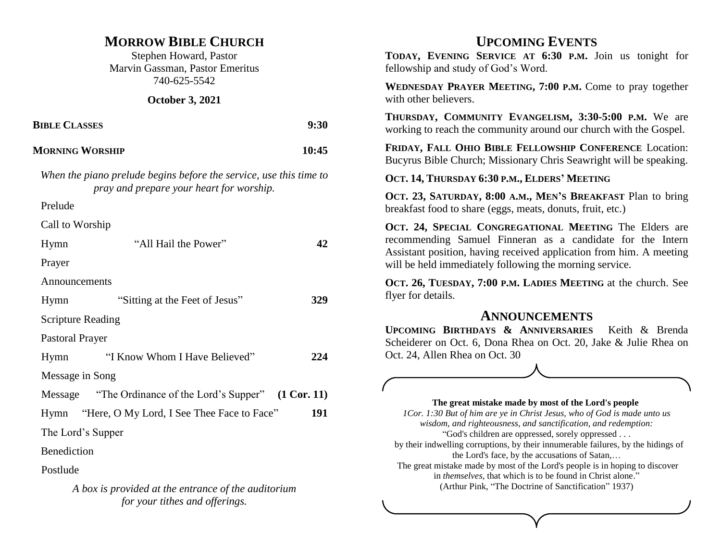### **MORROW BIBLE CHURCH**

Stephen Howard, Pastor Marvin Gassman, Pastor Emeritus 740-625-5542

**October 3, 2021**

| <b>BIBLE CLASSES</b><br><b>MORNING WORSHIP</b> |                                                                                                                | 9:30  |
|------------------------------------------------|----------------------------------------------------------------------------------------------------------------|-------|
|                                                |                                                                                                                | 10:45 |
|                                                | When the piano prelude begins before the service, use this time to<br>pray and prepare your heart for worship. |       |
| Prelude                                        |                                                                                                                |       |
| Call to Worship                                |                                                                                                                |       |
| Hymn                                           | "All Hail the Power"                                                                                           | 42    |
| Prayer                                         |                                                                                                                |       |
| Announcements                                  |                                                                                                                |       |
| Hymn                                           | "Sitting at the Feet of Jesus"                                                                                 |       |

Scripture Reading

Pastoral Prayer

| Hymn            | "I Know Whom I Have Believed"                    | 224 |
|-----------------|--------------------------------------------------|-----|
| Message in Song |                                                  |     |
| Message         | "The Ordinance of the Lord's Supper" (1 Cor. 11) |     |

Hymn "Here, O My Lord, I See Thee Face to Face" **191**

The Lord's Supper

Benediction

Postlude

*A box is provided at the entrance of the auditorium for your tithes and offerings.* 

# **UPCOMING EVENTS**

**TODAY, EVENING SERVICE AT 6:30 P.M.** Join us tonight for fellowship and study of God's Word.

**WEDNESDAY PRAYER MEETING, 7:00 P.M.** Come to pray together with other believers.

**THURSDAY, COMMUNITY EVANGELISM, 3:30-5:00 P.M.** We are working to reach the community around our church with the Gospel.

**FRIDAY, FALL OHIO BIBLE FELLOWSHIP CONFERENCE** Location: Bucyrus Bible Church; Missionary Chris Seawright will be speaking.

**OCT. 14, THURSDAY 6:30 P.M., ELDERS' MEETING**

**OCT. 23, SATURDAY, 8:00 A.M., MEN'S BREAKFAST** Plan to bring breakfast food to share (eggs, meats, donuts, fruit, etc.)

**OCT. 24, SPECIAL CONGREGATIONAL MEETING** The Elders are recommending Samuel Finneran as a candidate for the Intern Assistant position, having received application from him. A meeting will be held immediately following the morning service.

**OCT. 26, TUESDAY, 7:00 P.M. LADIES MEETING** at the church. See flyer for details.

### **ANNOUNCEMENTS**

**UPCOMING BIRTHDAYS & ANNIVERSARIES** Keith & Brenda Scheiderer on Oct. 6, Dona Rhea on Oct. 20, Jake & Julie Rhea on Oct. 24, Allen Rhea on Oct. 30



**The great mistake made by most of the Lord's people**

*1Cor. 1:30 But of him are ye in Christ Jesus, who of God is made unto us wisdom, and righteousness, and sanctification, and redemption:* "God's children are oppressed, sorely oppressed . . .

by their indwelling corruptions, by their innumerable failures, by the hidings of the Lord's face, by the accusations of Satan,…

The great mistake made by most of the Lord's people is in hoping to discover in *themselves*, that which is to be found in Christ alone." (Arthur Pink, "The Doctrine of Sanctification" 1937)